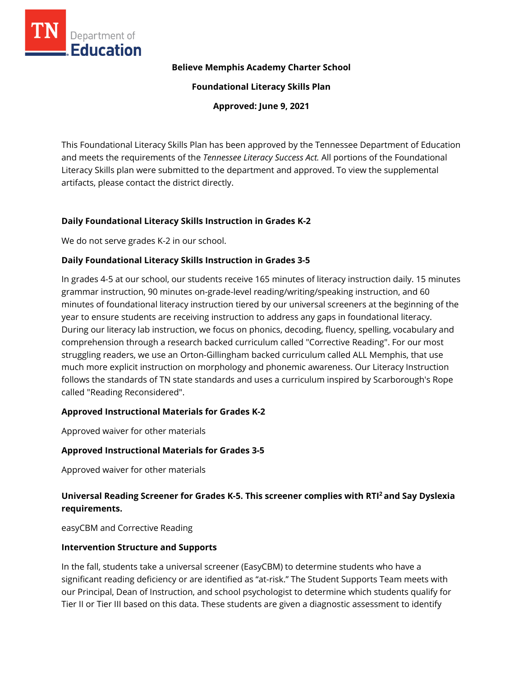

#### **Believe Memphis Academy Charter School**

**Foundational Literacy Skills Plan**

**Approved: June 9, 2021**

This Foundational Literacy Skills Plan has been approved by the Tennessee Department of Education and meets the requirements of the *Tennessee Literacy Success Act.* All portions of the Foundational Literacy Skills plan were submitted to the department and approved. To view the supplemental artifacts, please contact the district directly.

## **Daily Foundational Literacy Skills Instruction in Grades K-2**

We do not serve grades K-2 in our school.

## **Daily Foundational Literacy Skills Instruction in Grades 3-5**

In grades 4-5 at our school, our students receive 165 minutes of literacy instruction daily. 15 minutes grammar instruction, 90 minutes on-grade-level reading/writing/speaking instruction, and 60 minutes of foundational literacy instruction tiered by our universal screeners at the beginning of the year to ensure students are receiving instruction to address any gaps in foundational literacy. During our literacy lab instruction, we focus on phonics, decoding, fluency, spelling, vocabulary and comprehension through a research backed curriculum called "Corrective Reading". For our most struggling readers, we use an Orton-Gillingham backed curriculum called ALL Memphis, that use much more explicit instruction on morphology and phonemic awareness. Our Literacy Instruction follows the standards of TN state standards and uses a curriculum inspired by Scarborough's Rope called "Reading Reconsidered".

#### **Approved Instructional Materials for Grades K-2**

Approved waiver for other materials

#### **Approved Instructional Materials for Grades 3-5**

Approved waiver for other materials

## **Universal Reading Screener for Grades K-5. This screener complies with RTI<sup>2</sup>and Say Dyslexia requirements.**

easyCBM and Corrective Reading

#### **Intervention Structure and Supports**

In the fall, students take a universal screener (EasyCBM) to determine students who have a significant reading deficiency or are identified as "at-risk." The Student Supports Team meets with our Principal, Dean of Instruction, and school psychologist to determine which students qualify for Tier II or Tier III based on this data. These students are given a diagnostic assessment to identify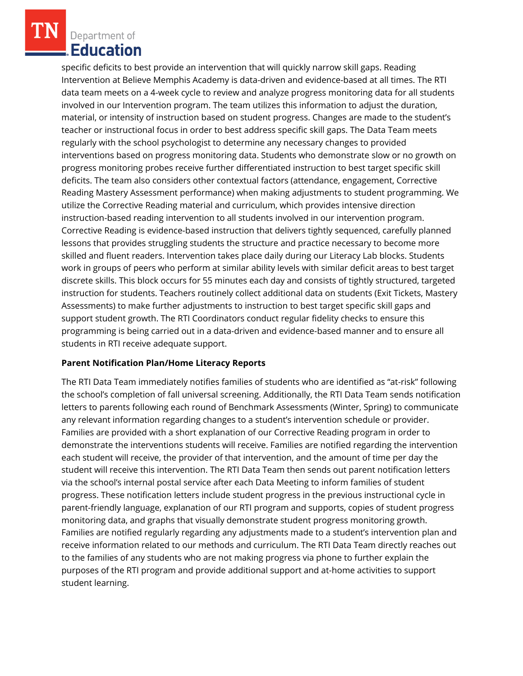Department of **Education** 

specific deficits to best provide an intervention that will quickly narrow skill gaps. Reading Intervention at Believe Memphis Academy is data-driven and evidence-based at all times. The RTI data team meets on a 4-week cycle to review and analyze progress monitoring data for all students involved in our Intervention program. The team utilizes this information to adjust the duration, material, or intensity of instruction based on student progress. Changes are made to the student's teacher or instructional focus in order to best address specific skill gaps. The Data Team meets regularly with the school psychologist to determine any necessary changes to provided interventions based on progress monitoring data. Students who demonstrate slow or no growth on progress monitoring probes receive further differentiated instruction to best target specific skill deficits. The team also considers other contextual factors (attendance, engagement, Corrective Reading Mastery Assessment performance) when making adjustments to student programming. We utilize the Corrective Reading material and curriculum, which provides intensive direction instruction-based reading intervention to all students involved in our intervention program. Corrective Reading is evidence-based instruction that delivers tightly sequenced, carefully planned lessons that provides struggling students the structure and practice necessary to become more skilled and fluent readers. Intervention takes place daily during our Literacy Lab blocks. Students work in groups of peers who perform at similar ability levels with similar deficit areas to best target discrete skills. This block occurs for 55 minutes each day and consists of tightly structured, targeted instruction for students. Teachers routinely collect additional data on students (Exit Tickets, Mastery Assessments) to make further adjustments to instruction to best target specific skill gaps and support student growth. The RTI Coordinators conduct regular fidelity checks to ensure this programming is being carried out in a data-driven and evidence-based manner and to ensure all students in RTI receive adequate support.

## **Parent Notification Plan/Home Literacy Reports**

The RTI Data Team immediately notifies families of students who are identified as "at-risk" following the school's completion of fall universal screening. Additionally, the RTI Data Team sends notification letters to parents following each round of Benchmark Assessments (Winter, Spring) to communicate any relevant information regarding changes to a student's intervention schedule or provider. Families are provided with a short explanation of our Corrective Reading program in order to demonstrate the interventions students will receive. Families are notified regarding the intervention each student will receive, the provider of that intervention, and the amount of time per day the student will receive this intervention. The RTI Data Team then sends out parent notification letters via the school's internal postal service after each Data Meeting to inform families of student progress. These notification letters include student progress in the previous instructional cycle in parent-friendly language, explanation of our RTI program and supports, copies of student progress monitoring data, and graphs that visually demonstrate student progress monitoring growth. Families are notified regularly regarding any adjustments made to a student's intervention plan and receive information related to our methods and curriculum. The RTI Data Team directly reaches out to the families of any students who are not making progress via phone to further explain the purposes of the RTI program and provide additional support and at-home activities to support student learning.